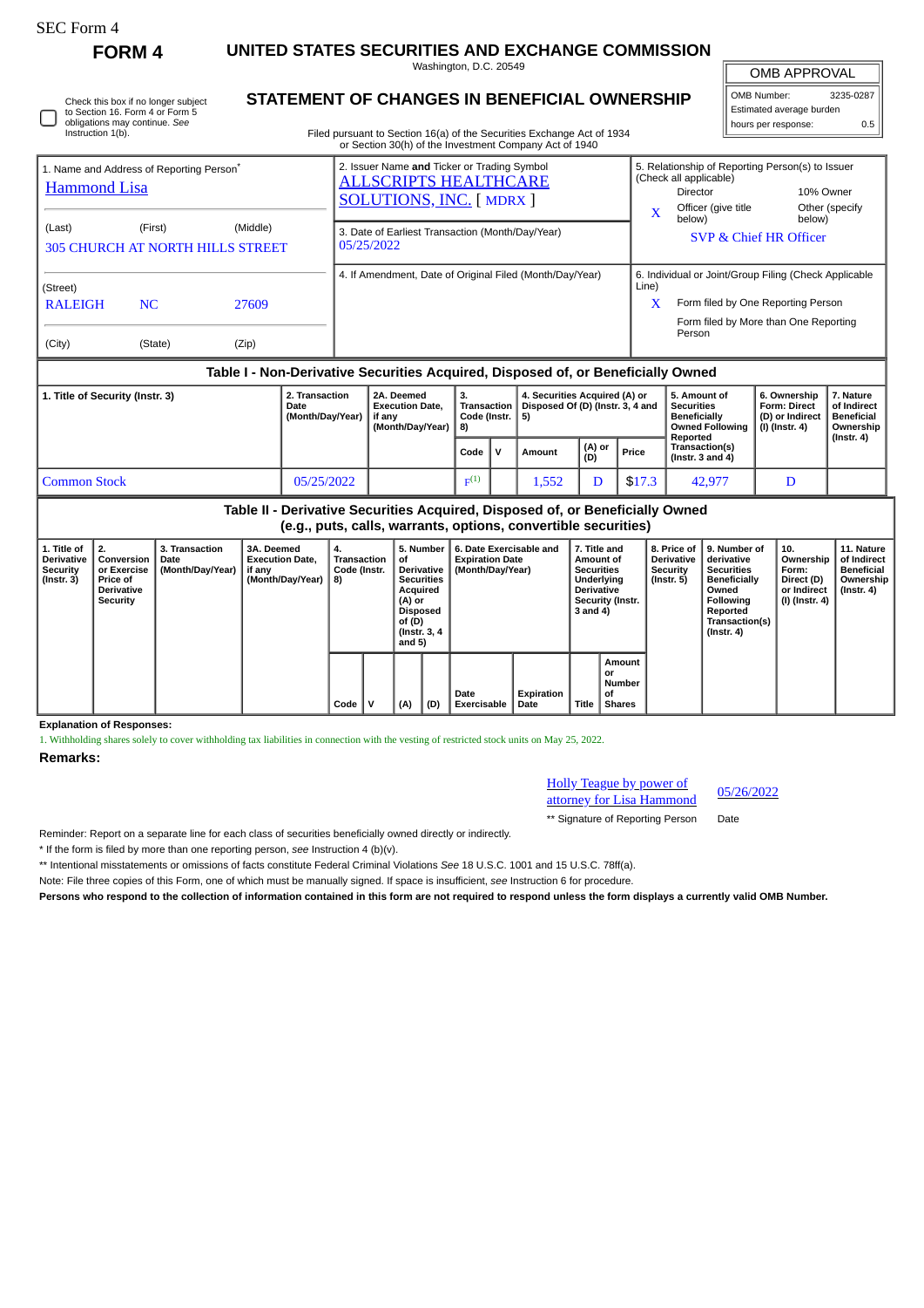| <b>FOLM</b><br>. . |
|--------------------|
|--------------------|

## **FORM 4 UNITED STATES SECURITIES AND EXCHANGE COMMISSION**

Washington, D.C. 20549

OMB APPROVAL

 $\sqrt{ }$ 

| OMB Number:              | 3235-0287 |
|--------------------------|-----------|
| Estimated average burden |           |
| hours per response:      | ስ 5       |

| Instruction 1(b).                                                                                                                                       | Check this box if no longer subject<br>to Section 16. Form 4 or Form 5<br>obligations may continue. See | <b>STATEMENT OF CHANGES IN BENEFICIAL OWNERSHIP</b><br>Filed pursuant to Section 16(a) of the Securities Exchange Act of 1934 | OMB Number:<br>Estimated average burden<br>hours per response:                                                                                                          | 3235-0287<br>0.5 |                                                                                                   |                              |
|---------------------------------------------------------------------------------------------------------------------------------------------------------|---------------------------------------------------------------------------------------------------------|-------------------------------------------------------------------------------------------------------------------------------|-------------------------------------------------------------------------------------------------------------------------------------------------------------------------|------------------|---------------------------------------------------------------------------------------------------|------------------------------|
| 1. Name and Address of Reporting Person <sup>®</sup><br><b>Hammond Lisa</b><br>(First)<br>(Middle)<br>(Last)<br><b>305 CHURCH AT NORTH HILLS STREET</b> |                                                                                                         |                                                                                                                               | or Section 30(h) of the Investment Company Act of 1940<br>2. Issuer Name and Ticker or Trading Symbol<br><b>ALLSCRIPTS HEALTHCARE</b><br><b>SOLUTIONS, INC.</b> [MDRX ] |                  | 5. Relationship of Reporting Person(s) to Issuer<br>(Check all applicable)<br>Officer (give title | 10% Owner<br>Other (specify) |
|                                                                                                                                                         |                                                                                                         |                                                                                                                               | 3. Date of Earliest Transaction (Month/Day/Year)<br>05/25/2022                                                                                                          | X<br>below)      | below)<br>SVP & Chief HR Officer                                                                  |                              |
| (Street)<br><b>RALEIGH</b>                                                                                                                              | NC.                                                                                                     | 27609                                                                                                                         | 4. If Amendment, Date of Original Filed (Month/Day/Year)                                                                                                                | Line)<br>X       | 6. Individual or Joint/Group Filing (Check Applicable<br>Form filed by One Reporting Person       |                              |
| (City)                                                                                                                                                  | (State)                                                                                                 | (Zip)                                                                                                                         |                                                                                                                                                                         | Person           | Form filed by More than One Reporting                                                             |                              |
|                                                                                                                                                         |                                                                                                         |                                                                                                                               | Table I - Non-Derivative Securities Acquired, Disposed of, or Beneficially Owned                                                                                        |                  |                                                                                                   |                              |

| 1. Title of Security (Instr. 3) | 2. Transaction<br>Date<br>(Month/Day/Year) | 4. Securities Acquired (A) or<br>2A. Deemed<br>5. Amount of<br>٥.<br>Disposed Of (D) (Instr. 3, 4 and<br><b>Securities</b><br><b>Execution Date.</b><br>Transaction<br>Code (Instr. $\vert$ 5)<br>Beneficially<br>if anv<br>(Month/Dav/Year)<br>1 8) |           |  | <b>Owned Following</b><br>Reported | 6. Ownership<br><b>Form: Direct</b><br>(D) or Indirect<br>(I) (Instr. 4) | . Nature<br>of Indirect<br><b>Beneficial</b><br>Ownership<br>$($ lnstr. 4 $)$ |                                         |  |  |
|---------------------------------|--------------------------------------------|------------------------------------------------------------------------------------------------------------------------------------------------------------------------------------------------------------------------------------------------------|-----------|--|------------------------------------|--------------------------------------------------------------------------|-------------------------------------------------------------------------------|-----------------------------------------|--|--|
|                                 |                                            |                                                                                                                                                                                                                                                      | Code      |  | Amount                             | (A) or<br>(D)                                                            | Price                                                                         | Transaction(s)<br>(Instr. $3$ and $4$ ) |  |  |
| Common Stock                    | 05/25/2022                                 |                                                                                                                                                                                                                                                      | $E^{(1)}$ |  | 1,552                              |                                                                          | \$17.3                                                                        | 42,977                                  |  |  |

## **Table II - Derivative Securities Acquired, Disposed of, or Beneficially Owned (e.g., puts, calls, warrants, options, convertible securities) 1. Title of Derivative Security (Instr. 3) 2. Conversion or Exercise Price of Derivative Security 3. Transaction Date (Month/Day/Year) 3A. Deemed Execution Date, if any (Month/Day/Year) 4. Transaction Code (Instr. 8) 5. Number of Derivative Securities Acquired (A) or Disposed of (D) (Instr. 3, 4 and 5) 6. Date Exercisable and Expiration Date (Month/Day/Year) 7. Title and Amount of Securities Underlying Derivative Security (Instr. 3 and 4) 8. Price of Derivative Security (Instr. 5) 9. Number of derivative Securities Beneficially Owned Following Reported Transaction(s) (Instr. 4) 10. Ownership Form: Direct (D) or Indirect (I) (Instr. 4) 11. Nature of Indirect Beneficial Ownership (Instr. 4) Date Exercisable Expiration Date Title Amount or Number of Shares**

**Explanation of Responses:**

1. Withholding shares solely to cover withholding tax liabilities in connection with the vesting of restricted stock units on May 25, 2022.

**Code V (A) (D)**

## **Remarks:**

| <b>Holly Teague by power of</b> | 05/26/2022 |
|---------------------------------|------------|
| attorney for Lisa Hammond       |            |

\*\* Signature of Reporting Person Date

Reminder: Report on a separate line for each class of securities beneficially owned directly or indirectly.

\* If the form is filed by more than one reporting person, *see* Instruction 4 (b)(v).

\*\* Intentional misstatements or omissions of facts constitute Federal Criminal Violations *See* 18 U.S.C. 1001 and 15 U.S.C. 78ff(a).

Note: File three copies of this Form, one of which must be manually signed. If space is insufficient, *see* Instruction 6 for procedure.

**Persons who respond to the collection of information contained in this form are not required to respond unless the form displays a currently valid OMB Number.**